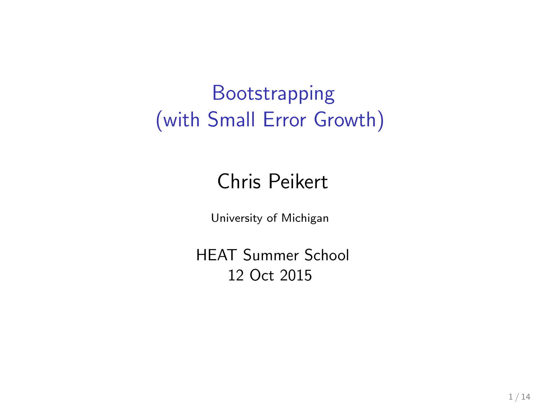# **Bootstrapping** (with Small Error Growth)

#### Chris Peikert

University of Michigan

HEAT Summer School 12 Oct 2015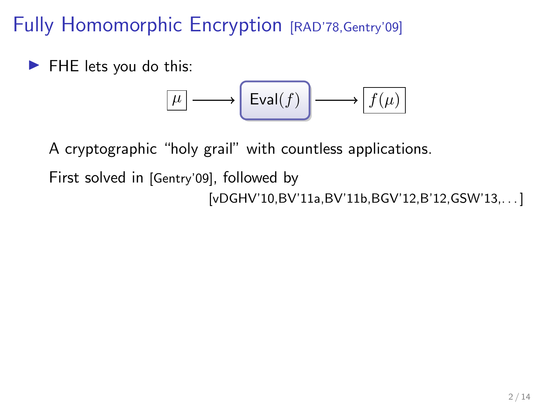Fully Homomorphic Encryption [RAD'78, Gentry'09]

 $\blacktriangleright$  FHE lets you do this:

$$
\boxed{\mu} \longrightarrow \boxed{\mathrm{Eval}(f)} \longrightarrow \boxed{f(\mu)}
$$

A cryptographic "holy grail" with countless applications.

First solved in [Gentry'09], followed by [vDGHV'10,BV'11a,BV'11b,BGV'12,B'12,GSW'13,. . . ]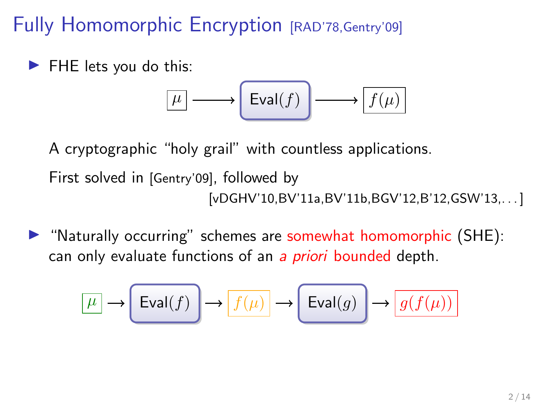Fully Homomorphic Encryption [RAD'78, Gentry'09]

 $\blacktriangleright$  FHE lets you do this:

$$
\boxed{\mu} \longrightarrow \boxed{\mathrm{Eval}(f)} \longrightarrow \boxed{f(\mu)}
$$

A cryptographic "holy grail" with countless applications.

First solved in [Gentry'09], followed by [vDGHV'10,BV'11a,BV'11b,BGV'12,B'12,GSW'13,. . . ]

 $\blacktriangleright$  "Naturally occurring" schemes are somewhat homomorphic (SHE): can only evaluate functions of an a *priori* bounded depth.

$$
\boxed{\mu} \to \boxed{\mathrm{Eval}(f)} \to \boxed{f(\mu)} \to \boxed{\mathrm{Eval}(g)} \to \boxed{g(f(\mu))}
$$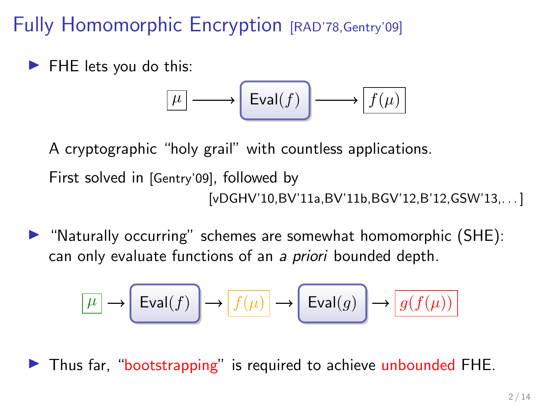Fully Homomorphic Encryption [RAD'78, Gentry'09]

 $\blacktriangleright$  FHE lets you do this:

$$
\boxed{\mu} \longrightarrow \boxed{\mathrm{Eval}(f)} \longrightarrow \boxed{f(\mu)}
$$

A cryptographic "holy grail" with countless applications.

First solved in [Gentry'09], followed by [vDGHV'10,BV'11a,BV'11b,BGV'12,B'12,GSW'13,. . . ]

 $\blacktriangleright$  "Naturally occurring" schemes are somewhat homomorphic (SHE): can only evaluate functions of an a priori bounded depth.

$$
\boxed{\mu} \longrightarrow \boxed{\mathrm{Eval}(f)} \longrightarrow \boxed{f(\mu)} \longrightarrow \boxed{\mathrm{Eval}(g)} \longrightarrow \boxed{g(f(\mu))}
$$

In Thus far, "bootstrapping" is required to achieve unbounded FHE.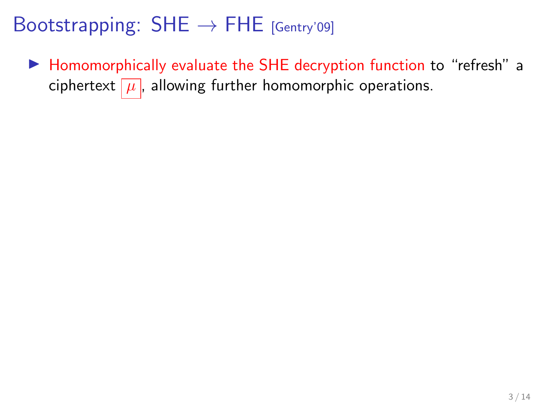▶ Homomorphically evaluate the SHE decryption function to "refresh" a ciphertext  $\mu$ , allowing further homomorphic operations.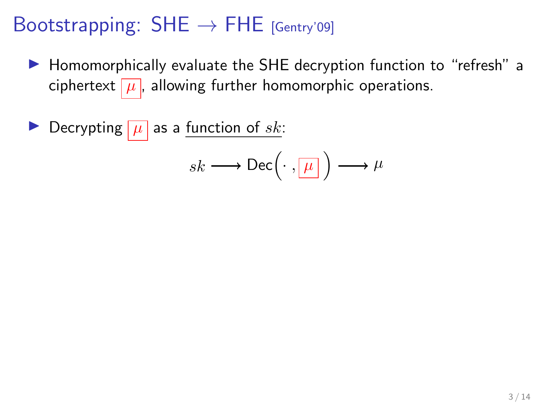▶ Homomorphically evaluate the SHE decryption function to "refresh" a ciphertext  $\mu$ , allowing further homomorphic operations.

Decrypting  $|\mu|$  as a <u>function of sk</u>:

$$
sk \longrightarrow \mathsf{Dec}\Big(\cdot\ ,\boxed{\mu}\Big) \longrightarrow \mu
$$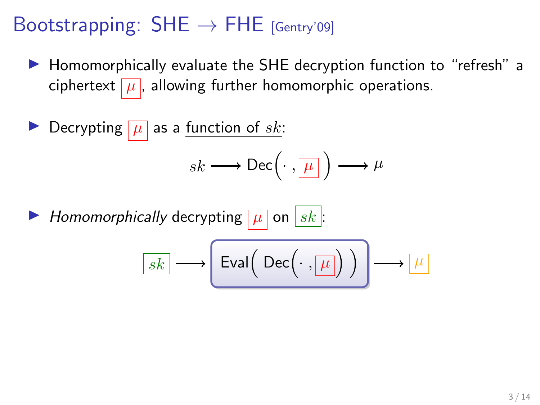▶ Homomorphically evaluate the SHE decryption function to "refresh" a ciphertext  $\mu$ , allowing further homomorphic operations.

$$
\triangleright \text{ Decrypting } \boxed{\mu} \text{ as a function of } sk: \\
sk \longrightarrow \text{Dec}\left(\cdot, \boxed{\mu}\right) \longrightarrow \mu
$$

 $\blacktriangleright$  Homomorphically decrypting  $|\mu|$  on  $|sk|$ :

$$
\boxed{sk} \longrightarrow \boxed{\text{Eval}\Big(\text{Dec}\Big(\cdot\,,\boxed{\mu}\Big)\Big)} \longrightarrow \boxed{\mu}
$$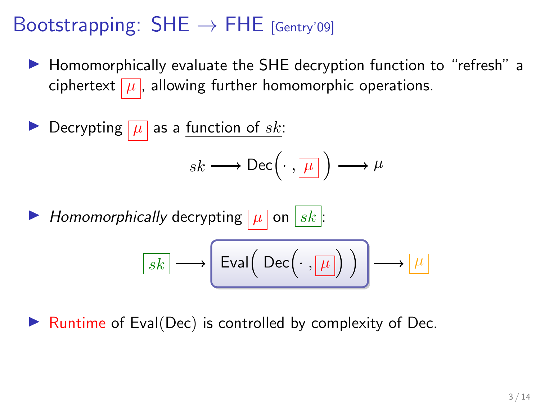$\blacktriangleright$  Homomorphically evaluate the SHE decryption function to "refresh" a ciphertext  $\mu$ , allowing further homomorphic operations.

$$
\triangleright \text{ Decrypting } \boxed{\mu} \text{ as a function of } sk: \\
sk \longrightarrow \text{Dec}\left(\cdot, \boxed{\mu}\right) \longrightarrow \mu
$$

 $\blacktriangleright$  Homomorphically decrypting  $|\mu|$  on  $|sk|$ :

$$
\boxed{sk} \longrightarrow \boxed{\text{Eval}\Big(\text{Dec}\Big(\cdot\,,\boxed{\mu}\Big)\Big)} \longrightarrow \boxed{\mu}
$$

Runtime of Eval(Dec) is controlled by complexity of Dec.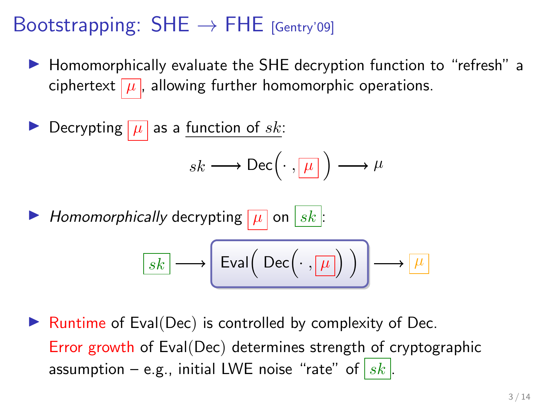$\blacktriangleright$  Homomorphically evaluate the SHE decryption function to "refresh" a ciphertext  $\mu$ , allowing further homomorphic operations.

$$
\triangleright \text{ Decrypting } \boxed{\mu} \text{ as a function of } sk: \\
sk \longrightarrow \text{Dec}\left(\cdot, \boxed{\mu}\right) \longrightarrow \mu
$$

 $\blacktriangleright$  Homomorphically decrypting  $|\mu|$  on  $|sk|$ :

$$
\boxed{sk} \longrightarrow \boxed{\text{Eval}\Big(\text{Dec}\Big(\cdot\,,\boxed{\mu}\Big)\Big)} \longrightarrow \boxed{\mu}
$$

Runtime of Eval(Dec) is controlled by complexity of Dec. Error growth of Eval(Dec) determines strength of cryptographic assumption – e.g., initial LWE noise "rate" of  $|sk|$ .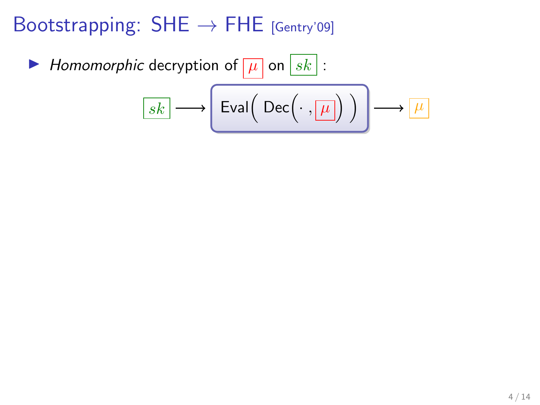$\blacktriangleright$  Homomorphic decryption of  $\boxed{\mu}$  on  $\boxed{sk}$ :

$$
\boxed{sk} \longrightarrow \boxed{\text{Eval}\Big(\text{ Dec}\Big(\cdot\,,\boxed{\mu}\Big)\Big)} \longrightarrow \boxed{\mu}
$$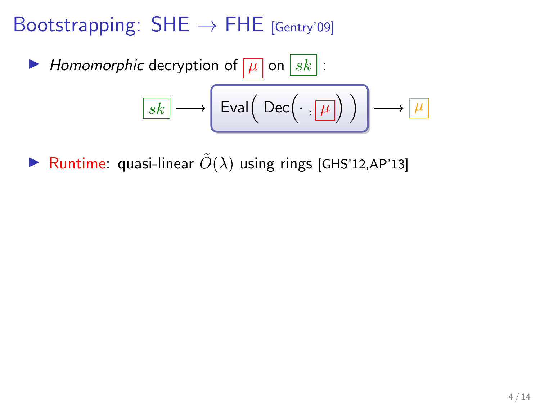► Homomorphic decryption of 
$$
\boxed{\mu}
$$
 on  $\boxed{sk}$  :  

$$
\boxed{sk} \longrightarrow \boxed{\text{Eval}(\text{Dec}(\cdot, \boxed{\mu})) \longrightarrow \boxed{\mu}
$$

**I** Runtime: quasi-linear  $\tilde{O}(\lambda)$  using rings [GHS'12,AP'13]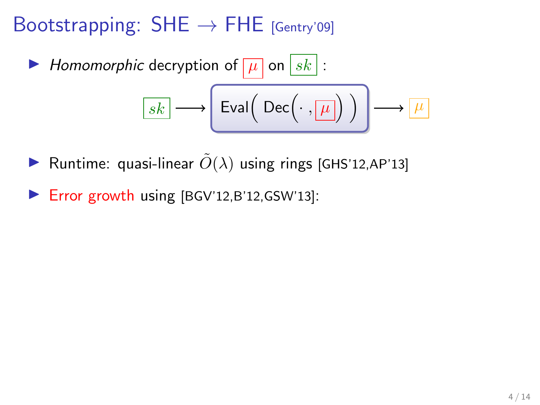► Homomorphic decryption of 
$$
\boxed{\mu}
$$
 on  $\boxed{sk}$  :  

$$
\boxed{sk} \longrightarrow \boxed{\text{Eval}(\text{Dec}(\cdot, \boxed{\mu})) \longrightarrow \boxed{\mu}
$$

- **•** Runtime: quasi-linear  $\tilde{O}(\lambda)$  using rings [GHS'12,AP'13]
- $\blacktriangleright$  Error growth using [BGV'12,B'12,GSW'13]: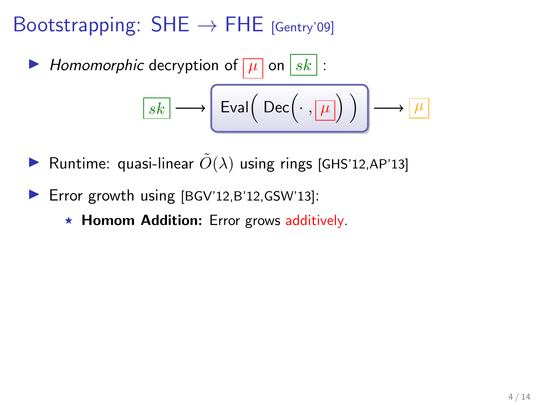► Homomorphic decryption of 
$$
\boxed{\mu}
$$
 on  $\boxed{sk}$  :  

$$
\boxed{sk} \longrightarrow \boxed{\text{Eval}(\text{Dec}(\cdot, \boxed{\mu})) \longrightarrow \boxed{\mu}
$$

- **•** Runtime: quasi-linear  $\tilde{O}(\lambda)$  using rings [GHS'12,AP'13]
- $\blacktriangleright$  Error growth using [BGV'12,B'12,GSW'13]:
	- $\star$  Homom Addition: Error grows additively.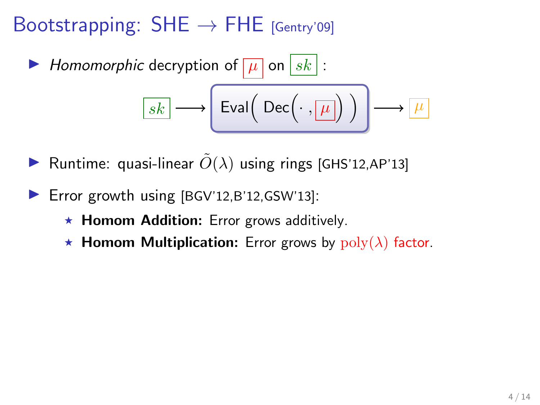► Homomorphic decryption of 
$$
\boxed{\mu}
$$
 on  $\boxed{sk}$  :  

$$
\boxed{sk} \longrightarrow \boxed{\text{Eval}(\text{Dec}(\cdot, \boxed{\mu})) \longrightarrow \boxed{\mu}
$$

- **•** Runtime: quasi-linear  $\tilde{O}(\lambda)$  using rings [GHS'12,AP'13]
- $\blacktriangleright$  Error growth using [BGV'12,B'12,GSW'13]:
	- $\star$  Homom Addition: Error grows additively.
	- **K** Homom Multiplication: Error grows by  $poly(\lambda)$  factor.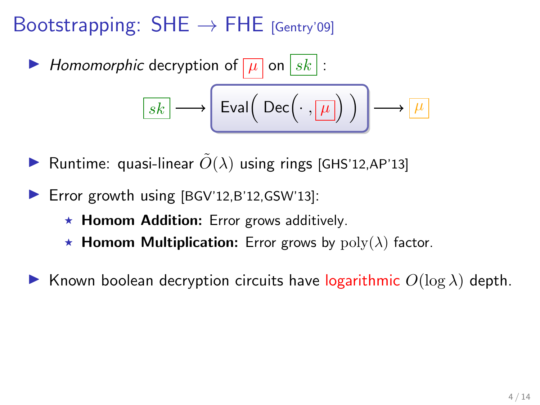► Homomorphic decryption of 
$$
\boxed{\mu}
$$
 on  $\boxed{sk}$  :  

$$
\boxed{sk} \longrightarrow \left( \text{Eval} \left( \text{Dec} \left( \cdot, \boxed{\mu} \right) \right) \right) \longrightarrow \boxed{\mu}
$$

- **I** Runtime: quasi-linear  $\tilde{O}(\lambda)$  using rings [GHS'12,AP'13]
- $\blacktriangleright$  Error growth using [BGV'12,B'12,GSW'13]:
	- $\star$  Homom Addition: Error grows additively.
	- **K** Homom Multiplication: Error grows by  $poly(\lambda)$  factor.
- **IGCO** Known boolean decryption circuits have logarithmic  $O(log \lambda)$  depth.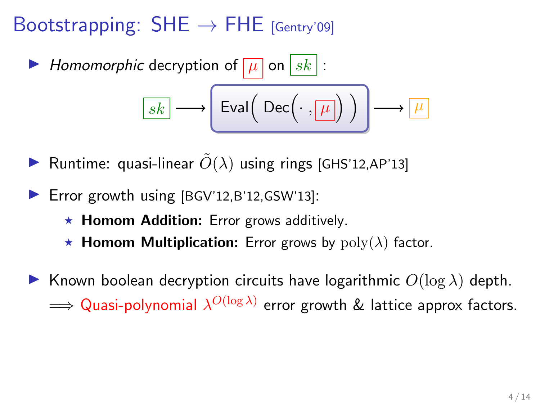► Homomorphic decryption of 
$$
\boxed{\mu}
$$
 on  $\boxed{sk}$  :  

$$
\boxed{sk} \longrightarrow \left( \text{Eval} \left( \text{Dec} \left( \cdot, \boxed{\mu} \right) \right) \right) \longrightarrow \boxed{\mu}
$$

- **I** Runtime: quasi-linear  $\tilde{O}(\lambda)$  using rings [GHS'12,AP'13]
- $\blacktriangleright$  Error growth using [BGV'12,B'12,GSW'13]:
	- $\star$  Homom Addition: Error grows additively.
	- $\star$  **Homom Multiplication:** Error grows by  $poly(\lambda)$  factor.
- **IGCO** Known boolean decryption circuits have logarithmic  $O(log \lambda)$  depth.  $\Longrightarrow$  Quasi-polynomial  $\lambda^{O(\log \lambda)}$  error growth & lattice approx factors.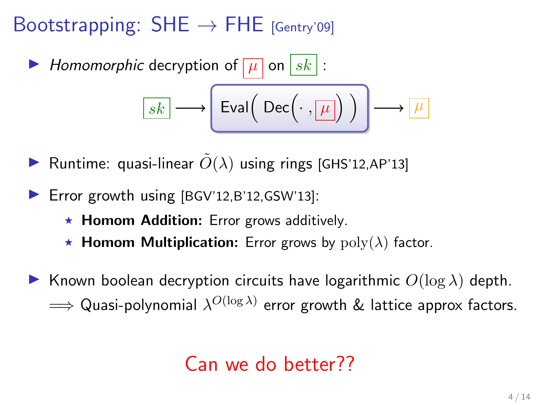► Homomorphic decryption of 
$$
\boxed{\mu}
$$
 on  $\boxed{sk}$  :  

$$
\boxed{sk} \longrightarrow \left( \text{Eval} \left( \text{Dec} \left( \cdot, \boxed{\mu} \right) \right) \right) \longrightarrow \boxed{\mu}
$$

- **I** Runtime: quasi-linear  $\tilde{O}(\lambda)$  using rings [GHS'12,AP'13]
- $\blacktriangleright$  Error growth using [BGV'12,B'12,GSW'13]:
	- $\star$  Homom Addition: Error grows additively.
	- $\star$  **Homom Multiplication:** Error grows by  $poly(\lambda)$  factor.
- **IGCO** Known boolean decryption circuits have logarithmic  $O(log \lambda)$  depth.  $\Longrightarrow$  Quasi-polynomial  $\lambda^{O(\log \lambda)}$  error growth  $\&$  lattice approx factors.

#### Can we do better??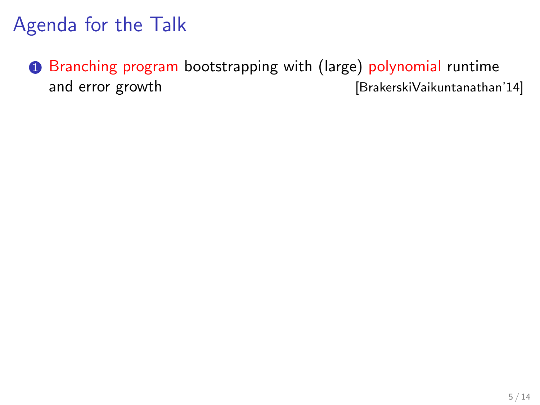# Agenda for the Talk

**1** Branching program bootstrapping with (large) polynomial runtime and error growth **and error** growth **[BrakerskiVaikuntanathan'14]**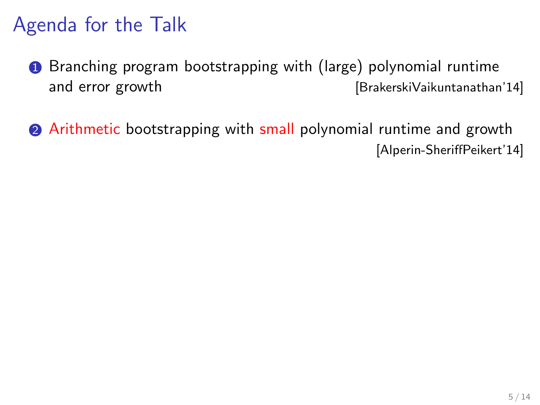# Agenda for the Talk

- **1** Branching program bootstrapping with (large) polynomial runtime and error growth **induces** [BrakerskiVaikuntanathan'14]
- **2** Arithmetic bootstrapping with small polynomial runtime and growth [Alperin-SheriffPeikert'14]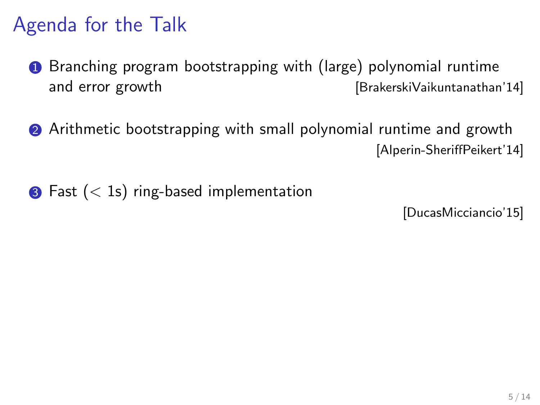# Agenda for the Talk

- **1** Branching program bootstrapping with (large) polynomial runtime and error growth **induces** [BrakerskiVaikuntanathan'14]
- **2** Arithmetic bootstrapping with small polynomial runtime and growth [Alperin-SheriffPeikert'14]
- $\bullet$  Fast  $(< 1s)$  ring-based implementation

[DucasMicciancio'15]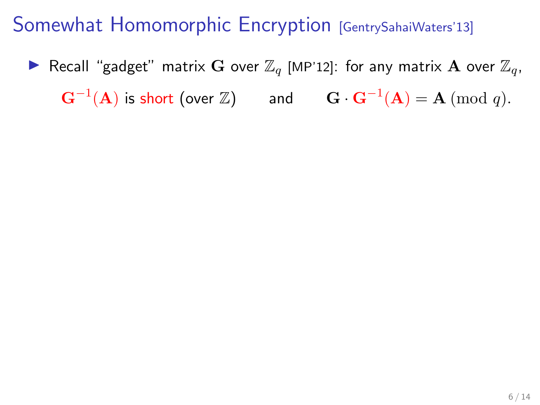**IF** Recall "gadget" matrix G over  $\mathbb{Z}_q$  [MP'12]: for any matrix A over  $\mathbb{Z}_q$ ,  $\mathbf{G}^{-1}(\mathbf{A})$  is short (over  $\mathbb{Z})$  and  $\mathbf{G} \cdot \mathbf{G}^{-1}(\mathbf{A}) = \mathbf{A} \; (\textrm{mod } q).$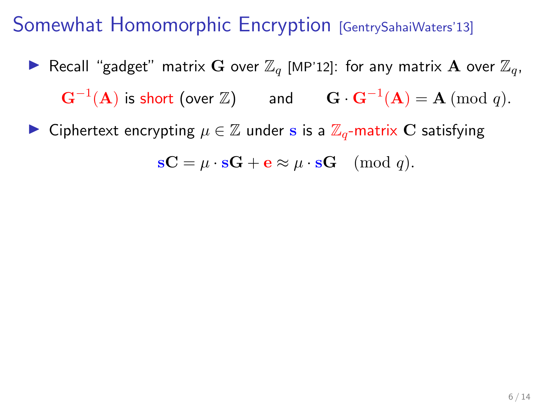- **IF** Recall "gadget" matrix G over  $\mathbb{Z}_q$  [MP'12]: for any matrix A over  $\mathbb{Z}_q$ ,  $\mathbf{G}^{-1}(\mathbf{A})$  is short (over  $\mathbb{Z})$  and  $\mathbf{G} \cdot \mathbf{G}^{-1}(\mathbf{A}) = \mathbf{A} \; (\textrm{mod } q).$
- ► Ciphertext encrypting  $\mu \in \mathbb{Z}$  under s is a  $\mathbb{Z}_q$ -matrix C satisfying

$$
\mathbf{s} \mathbf{C} = \mu \cdot \mathbf{s} \mathbf{G} + \mathbf{e} \approx \mu \cdot \mathbf{s} \mathbf{G} \pmod{q}.
$$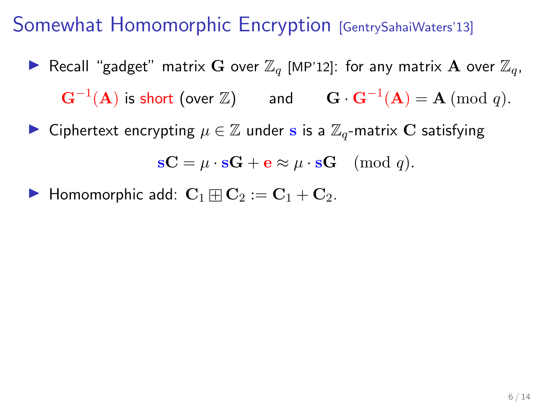- **I** Recall "gadget" matrix G over  $\mathbb{Z}_q$  [MP'12]: for any matrix A over  $\mathbb{Z}_q$ ,  $\mathbf{G}^{-1}(\mathbf{A})$  is short (over  $\mathbb{Z})$  and  $\mathbf{G} \cdot \mathbf{G}^{-1}(\mathbf{A}) = \mathbf{A} \; (\textrm{mod } q).$
- ► Ciphertext encrypting  $\mu \in \mathbb{Z}$  under s is a  $\mathbb{Z}_q$ -matrix C satisfying

$$
\mathbf{s} \mathbf{C} = \mu \cdot \mathbf{s} \mathbf{G} + \mathbf{e} \approx \mu \cdot \mathbf{s} \mathbf{G} \pmod{q}.
$$

 $\blacktriangleright$  Homomorphic add:  $\mathbf{C}_1 \boxplus \mathbf{C}_2 := \mathbf{C}_1 + \mathbf{C}_2$ .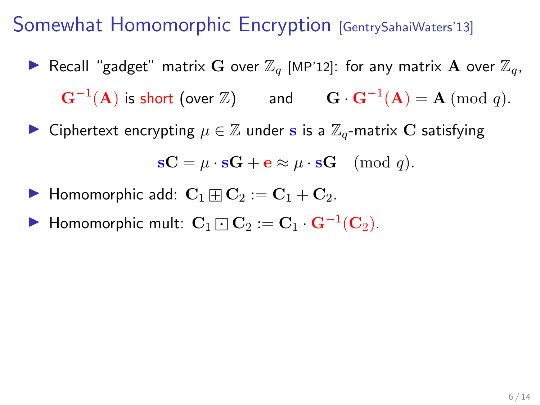- **I** Recall "gadget" matrix G over  $\mathbb{Z}_q$  [MP'12]: for any matrix A over  $\mathbb{Z}_q$ ,  $\mathbf{G}^{-1}(\mathbf{A})$  is short (over  $\mathbb{Z})$  and  $\mathbf{G} \cdot \mathbf{G}^{-1}(\mathbf{A}) = \mathbf{A} \; (\textrm{mod } q).$
- ► Ciphertext encrypting  $\mu \in \mathbb{Z}$  under s is a  $\mathbb{Z}_q$ -matrix C satisfying

$$
\mathbf{s} \mathbf{C} = \mu \cdot \mathbf{s} \mathbf{G} + \mathbf{e} \approx \mu \cdot \mathbf{s} \mathbf{G} \pmod{q}.
$$

- $\blacktriangleright$  Homomorphic add:  $\mathbf{C}_1 \boxplus \mathbf{C}_2 := \mathbf{C}_1 + \mathbf{C}_2$ .
- ▶ Homomorphic mult:  $\mathbf{C}_1 \boxdot \mathbf{C}_2 := \mathbf{C}_1 \cdot \mathbf{G}^{-1}(\mathbf{C}_2)$ .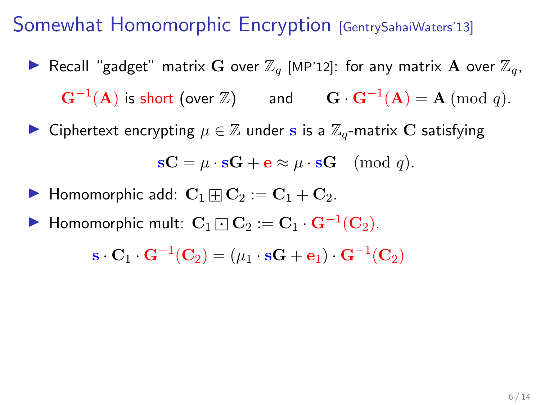- **I** Recall "gadget" matrix G over  $\mathbb{Z}_q$  [MP'12]: for any matrix A over  $\mathbb{Z}_q$ ,  $\mathbf{G}^{-1}(\mathbf{A})$  is short (over  $\mathbb{Z})$  and  $\mathbf{G} \cdot \mathbf{G}^{-1}(\mathbf{A}) = \mathbf{A} \; (\textrm{mod } q).$
- ► Ciphertext encrypting  $\mu \in \mathbb{Z}$  under s is a  $\mathbb{Z}_q$ -matrix C satisfying

$$
\mathbf{s} \mathbf{C} = \mu \cdot \mathbf{s} \mathbf{G} + \mathbf{e} \approx \mu \cdot \mathbf{s} \mathbf{G} \pmod{q}.
$$

- $\blacktriangleright$  Homomorphic add:  $\mathbf{C}_1 \boxplus \mathbf{C}_2 := \mathbf{C}_1 + \mathbf{C}_2$ .
- ▶ Homomorphic mult:  $\mathbf{C}_1 \boxdot \mathbf{C}_2 := \mathbf{C}_1 \cdot \mathbf{G}^{-1}(\mathbf{C}_2)$ .

$$
\mathbf{s} \cdot \mathbf{C}_1 \cdot \mathbf{G}^{-1}(\mathbf{C}_2) = (\mu_1 \cdot \mathbf{s}\mathbf{G} + \mathbf{e}_1) \cdot \mathbf{G}^{-1}(\mathbf{C}_2)
$$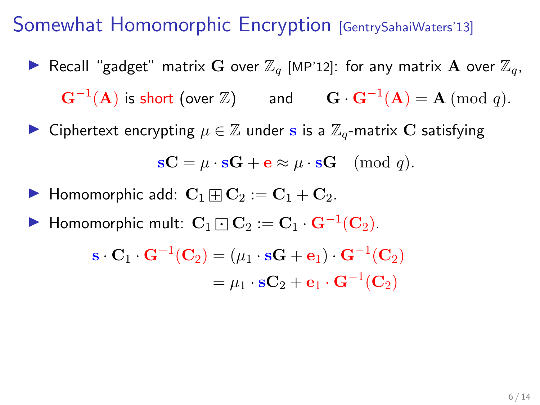- **I** Recall "gadget" matrix G over  $\mathbb{Z}_q$  [MP'12]: for any matrix A over  $\mathbb{Z}_q$ ,  $\mathbf{G}^{-1}(\mathbf{A})$  is short (over  $\mathbb{Z})$  and  $\mathbf{G} \cdot \mathbf{G}^{-1}(\mathbf{A}) = \mathbf{A} \; (\textrm{mod } q).$
- ► Ciphertext encrypting  $\mu \in \mathbb{Z}$  under s is a  $\mathbb{Z}_q$ -matrix C satisfying

$$
\mathbf{s} \mathbf{C} = \mu \cdot \mathbf{s} \mathbf{G} + \mathbf{e} \approx \mu \cdot \mathbf{s} \mathbf{G} \pmod{q}.
$$

- $\blacktriangleright$  Homomorphic add:  $\mathbf{C}_1 \boxplus \mathbf{C}_2 := \mathbf{C}_1 + \mathbf{C}_2$ .
- ▶ Homomorphic mult:  $\mathbf{C}_1 \boxdot \mathbf{C}_2 := \mathbf{C}_1 \cdot \mathbf{G}^{-1}(\mathbf{C}_2)$ .

$$
\mathbf{s} \cdot \mathbf{C}_1 \cdot \mathbf{G}^{-1}(\mathbf{C}_2) = (\mu_1 \cdot \mathbf{s} \mathbf{G} + \mathbf{e}_1) \cdot \mathbf{G}^{-1}(\mathbf{C}_2)
$$

$$
= \mu_1 \cdot \mathbf{s} \mathbf{C}_2 + \mathbf{e}_1 \cdot \mathbf{G}^{-1}(\mathbf{C}_2)
$$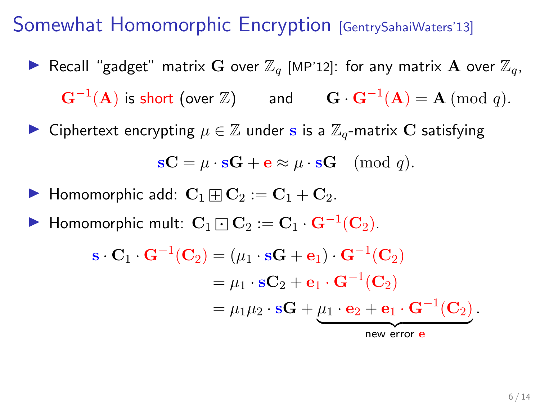- **I** Recall "gadget" matrix G over  $\mathbb{Z}_q$  [MP'12]: for any matrix A over  $\mathbb{Z}_q$ ,  $\mathbf{G}^{-1}(\mathbf{A})$  is short (over  $\mathbb{Z})$  and  $\mathbf{G} \cdot \mathbf{G}^{-1}(\mathbf{A}) = \mathbf{A} \; (\textrm{mod } q).$
- ► Ciphertext encrypting  $\mu \in \mathbb{Z}$  under s is a  $\mathbb{Z}_q$ -matrix C satisfying

$$
\mathbf{s} \mathbf{C} = \mu \cdot \mathbf{s} \mathbf{G} + \mathbf{e} \approx \mu \cdot \mathbf{s} \mathbf{G} \pmod{q}.
$$

- $\blacktriangleright$  Homomorphic add:  $\mathbf{C}_1 \boxplus \mathbf{C}_2 := \mathbf{C}_1 + \mathbf{C}_2$ .
- ▶ Homomorphic mult:  $\mathbf{C}_1 \boxdot \mathbf{C}_2 := \mathbf{C}_1 \cdot \mathbf{G}^{-1}(\mathbf{C}_2)$ .

$$
\mathbf{s} \cdot \mathbf{C}_1 \cdot \mathbf{G}^{-1}(\mathbf{C}_2) = (\mu_1 \cdot \mathbf{s} \mathbf{G} + \mathbf{e}_1) \cdot \mathbf{G}^{-1}(\mathbf{C}_2)
$$
  
=  $\mu_1 \cdot \mathbf{s} \mathbf{C}_2 + \mathbf{e}_1 \cdot \mathbf{G}^{-1}(\mathbf{C}_2)$   
=  $\mu_1 \mu_2 \cdot \mathbf{s} \mathbf{G} + \underbrace{\mu_1 \cdot \mathbf{e}_2 + \mathbf{e}_1 \cdot \mathbf{G}^{-1}(\mathbf{C}_2)}_{\text{new error e}}.$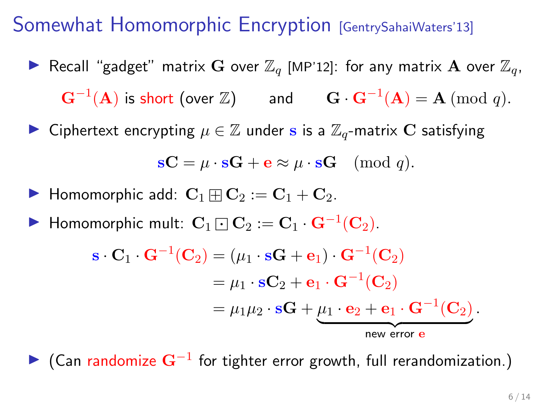- **IF** Recall "gadget" matrix G over  $\mathbb{Z}_q$  [MP'12]: for any matrix A over  $\mathbb{Z}_q$ ,  $\mathbf{G}^{-1}(\mathbf{A})$  is short (over  $\mathbb{Z})$  and  $\mathbf{G} \cdot \mathbf{G}^{-1}(\mathbf{A}) = \mathbf{A} \; (\textrm{mod } q).$
- ► Ciphertext encrypting  $\mu \in \mathbb{Z}$  under s is a  $\mathbb{Z}_q$ -matrix C satisfying

$$
\mathbf{s} \mathbf{C} = \mu \cdot \mathbf{s} \mathbf{G} + \mathbf{e} \approx \mu \cdot \mathbf{s} \mathbf{G} \pmod{q}.
$$

- $\blacktriangleright$  Homomorphic add:  $\mathbf{C}_1 \boxplus \mathbf{C}_2 := \mathbf{C}_1 + \mathbf{C}_2$ .
- ▶ Homomorphic mult:  $\mathbf{C}_1 \boxdot \mathbf{C}_2 := \mathbf{C}_1 \cdot \mathbf{G}^{-1}(\mathbf{C}_2)$ .

$$
\mathbf{s} \cdot \mathbf{C}_1 \cdot \mathbf{G}^{-1}(\mathbf{C}_2) = (\mu_1 \cdot \mathbf{s} \mathbf{G} + \mathbf{e}_1) \cdot \mathbf{G}^{-1}(\mathbf{C}_2)
$$
  
=  $\mu_1 \cdot \mathbf{s} \mathbf{C}_2 + \mathbf{e}_1 \cdot \mathbf{G}^{-1}(\mathbf{C}_2)$   
=  $\mu_1 \mu_2 \cdot \mathbf{s} \mathbf{G} + \underbrace{\mu_1 \cdot \mathbf{e}_2 + \mathbf{e}_1 \cdot \mathbf{G}^{-1}(\mathbf{C}_2)}_{\text{new error e}}.$ 

► (Can randomize  $G^{-1}$  for tighter error growth, full rerandomization.)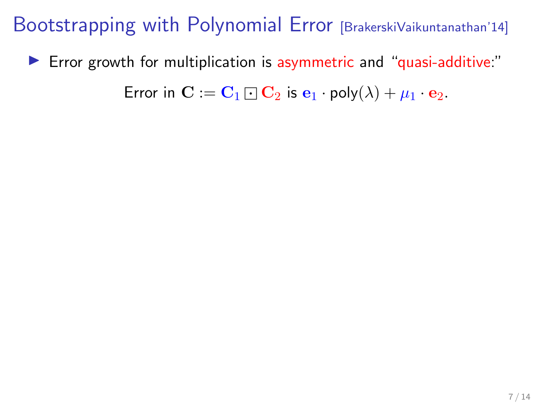$\triangleright$  Error growth for multiplication is asymmetric and "quasi-additive:"

Error in  $\mathbf{C} := \mathbf{C}_1 \square \mathbf{C}_2$  is  $\mathbf{e}_1 \cdot \text{poly}(\lambda) + \mu_1 \cdot \mathbf{e}_2$ .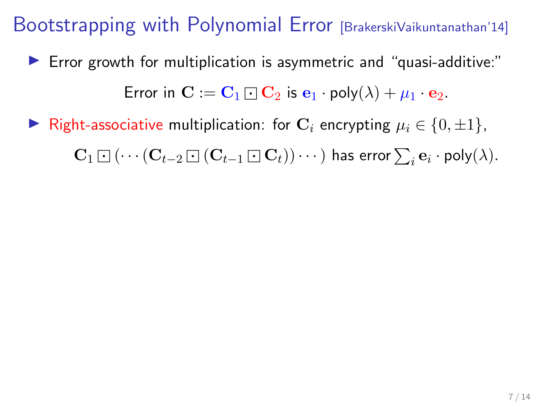$\blacktriangleright$  Error growth for multiplication is asymmetric and "quasi-additive:"

Error in  $\mathbf{C} := \mathbf{C}_1 \boxdot \mathbf{C}_2$  is  $\mathbf{e}_1 \cdot \text{poly}(\lambda) + \mu_1 \cdot \mathbf{e}_2$ .

**►** Right-associative multiplication: for  $\mathbf{C}_i$  encrypting  $\mu_i \in \{0, \pm 1\}$ ,  ${\bf C}_1 \boxdot ( \cdots ({\bf C}_{t-2} \boxdot ( {\bf C}_{t-1} \boxdot {\bf C}_t) ) \cdots )$  has error  $\sum_i {\bf e}_i \cdot {\sf poly}(\lambda).$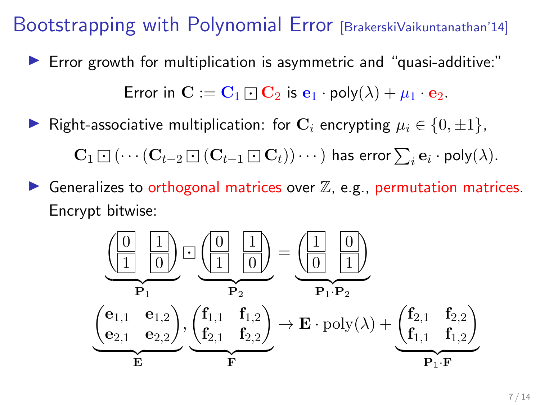$\blacktriangleright$  Error growth for multiplication is asymmetric and "quasi-additive:"

Error in  $\mathbf{C} := \mathbf{C}_1 \boxdot \mathbf{C}_2$  is  $\mathbf{e}_1 \cdot \text{poly}(\lambda) + \mu_1 \cdot \mathbf{e}_2$ .

► Right-associative multiplication: for  $\mathbf{C}_i$  encrypting  $\mu_i \in \{0, \pm 1\}$ ,

 ${\bf C}_1 \boxdot ( \cdots ({\bf C}_{t-2} \boxdot ( {\bf C}_{t-1} \boxdot {\bf C}_t) ) \cdots )$  has error  $\sum_i {\bf e}_i \cdot {\sf poly}(\lambda).$ 

Generalizes to orthogonal matrices over  $\mathbb{Z}$ , e.g., permutation matrices. Encrypt bitwise:

$$
\underbrace{\left(\begin{array}{c|c} 0 & 1 \\ \hline 1 & 0 \end{array}\right)}_{\mathbf{P}_1} \boxdot \underbrace{\left(\begin{array}{c|c} 0 & 1 \\ \hline 1 & 0 \end{array}\right)}_{\mathbf{P}_2} = \underbrace{\left(\begin{array}{c|c} 1 & 0 \\ \hline 0 & 1 \end{array}\right)}_{\mathbf{P}_1 \cdot \mathbf{P}_2}
$$
\n
$$
\underbrace{\left(\begin{array}{c|c} \mathbf{e}_{1,1} & \mathbf{e}_{1,2} \\ \hline \mathbf{e}_{2,1} & \mathbf{e}_{2,2} \end{array}\right)}_{\mathbf{E}} , \underbrace{\left(\begin{array}{c} \mathbf{f}_{1,1} & \mathbf{f}_{1,2} \\ \hline \mathbf{f}_{2,1} & \mathbf{f}_{2,2} \end{array}\right)}_{\mathbf{F}} \rightarrow \mathbf{E} \cdot \mathrm{poly}(\lambda) + \underbrace{\left(\begin{array}{c} \mathbf{f}_{2,1} & \mathbf{f}_{2,2} \\ \hline \mathbf{f}_{1,1} & \mathbf{f}_{1,2} \end{array}\right)}_{\mathbf{P}_1 \cdot \mathbf{F}}
$$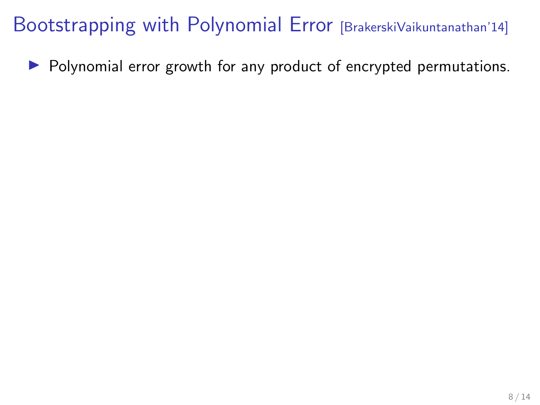$\triangleright$  Polynomial error growth for any product of encrypted permutations.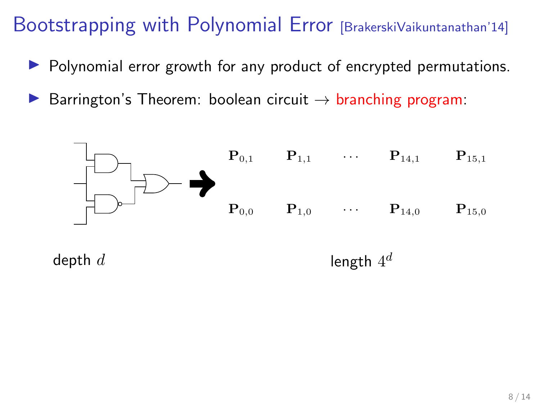- $\triangleright$  Polynomial error growth for any product of encrypted permutations.
- $\triangleright$  Barrington's Theorem: boolean circuit  $\rightarrow$  branching program:

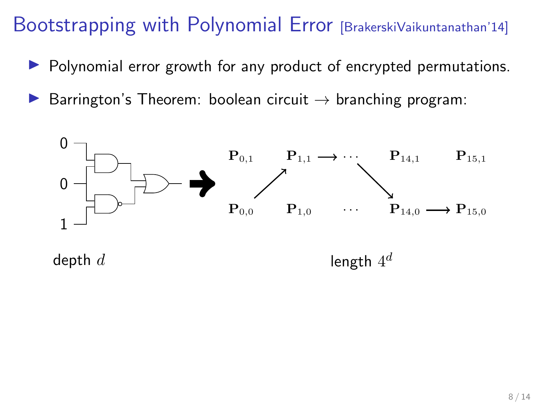- $\triangleright$  Polynomial error growth for any product of encrypted permutations.
- **D** Barrington's Theorem: boolean circuit  $\rightarrow$  branching program:

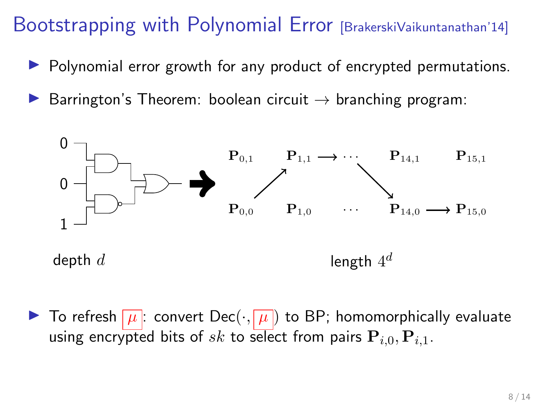- $\triangleright$  Polynomial error growth for any product of encrypted permutations.
- $\triangleright$  Barrington's Theorem: boolean circuit  $\rightarrow$  branching program:



 $\blacktriangleright$  To refresh  $\lceil \mu \rceil$ : convert Dec $(\cdot, \lceil \mu \rceil)$  to BP; homomorphically evaluate using encrypted bits of sk to select from pairs  $P_{i,0}, P_{i,1}$ .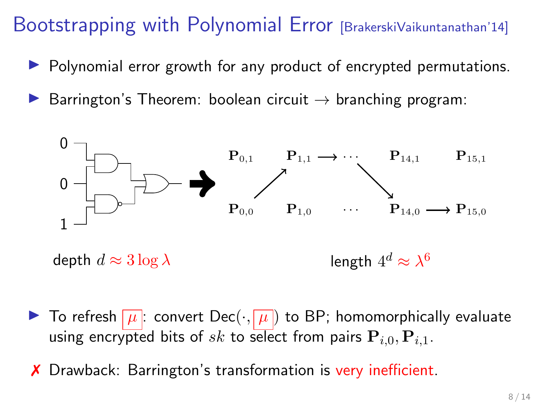- $\triangleright$  Polynomial error growth for any product of encrypted permutations.
- $\triangleright$  Barrington's Theorem: boolean circuit  $\rightarrow$  branching program:



- $\blacktriangleright$  To refresh  $\lceil \mu \rceil$ : convert Dec $(\cdot, \lceil \mu \rceil)$  to BP; homomorphically evaluate using encrypted bits of sk to select from pairs  $P_{i,0}, P_{i,1}$ .
- ✗ Drawback: Barrington's transformation is very inefficient.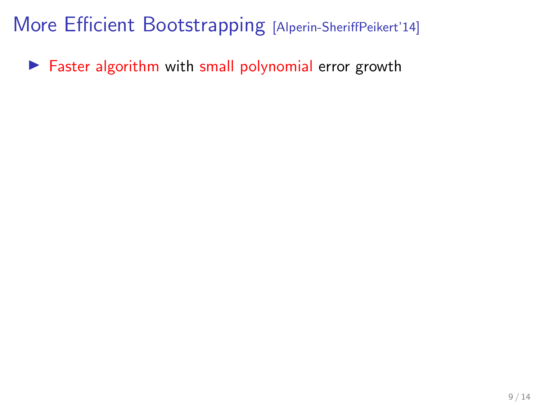$\blacktriangleright$  Faster algorithm with small polynomial error growth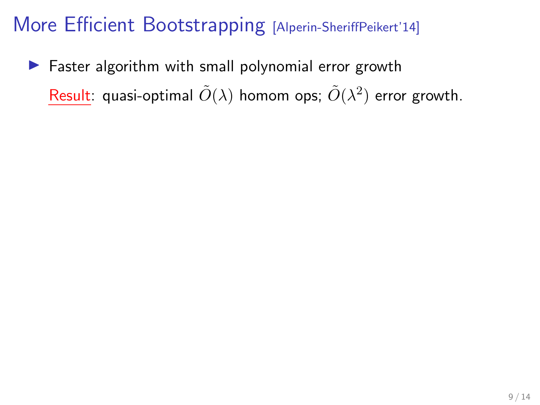$\blacktriangleright$  Faster algorithm with small polynomial error growth  $\mathsf{Result}$ : quasi-optimal  $\tilde{O}(\lambda)$  homom ops;  $\tilde{O}(\lambda^2)$  error growth.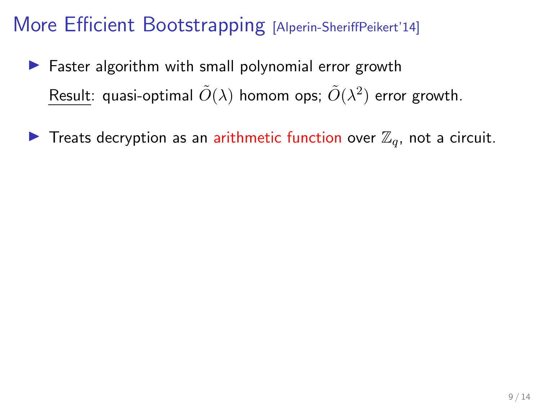- $\blacktriangleright$  Faster algorithm with small polynomial error growth Result: quasi-optimal  $\tilde{O}(\lambda)$  homom ops;  $\tilde{O}(\lambda^2)$  error growth.
- **Treats decryption as an arithmetic function over**  $\mathbb{Z}_q$ **, not a circuit.**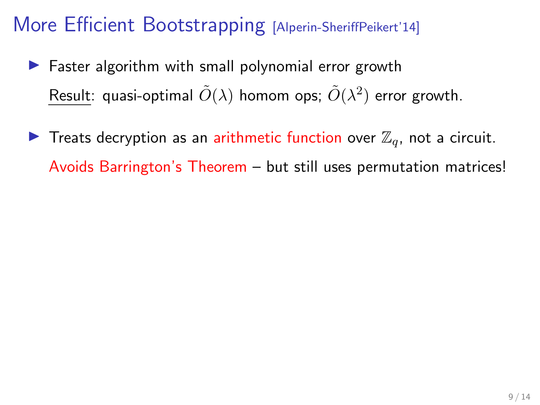- $\blacktriangleright$  Faster algorithm with small polynomial error growth Result: quasi-optimal  $\tilde{O}(\lambda)$  homom ops;  $\tilde{O}(\lambda^2)$  error growth.
- **Treats decryption as an arithmetic function over**  $\mathbb{Z}_q$ **, not a circuit.** Avoids Barrington's Theorem – but still uses permutation matrices!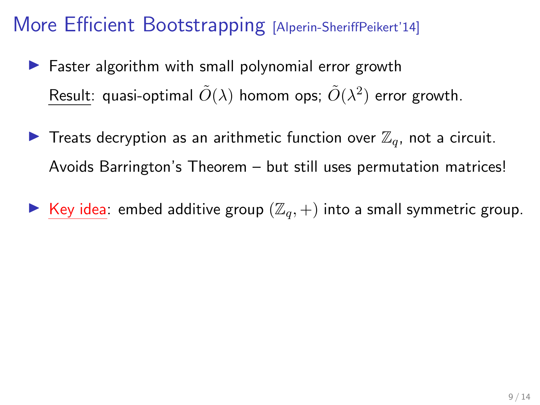- $\blacktriangleright$  Faster algorithm with small polynomial error growth Result: quasi-optimal  $\tilde{O}(\lambda)$  homom ops;  $\tilde{O}(\lambda^2)$  error growth.
- **Treats decryption as an arithmetic function over**  $\mathbb{Z}_q$ **, not a circuit.** Avoids Barrington's Theorem – but still uses permutation matrices!
- Exevalleright Key idea: embed additive group  $(\mathbb{Z}_q, +)$  into a small symmetric group.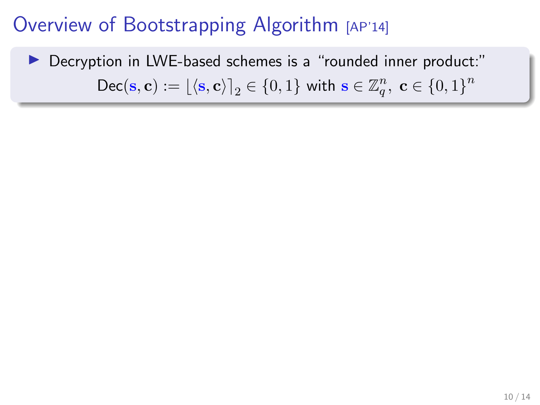# Decryption in LWE-based schemes is a "rounded inner product:"  $\mathsf{Dec}(\mathbf{s}, \mathbf{c}) := \lfloor \langle \mathbf{s}, \mathbf{c} \rangle \rceil_2 \in \{0, 1\}$  with  $\mathbf{s} \in \mathbb{Z}_q^n$ ,  $\mathbf{c} \in \{0, 1\}^n$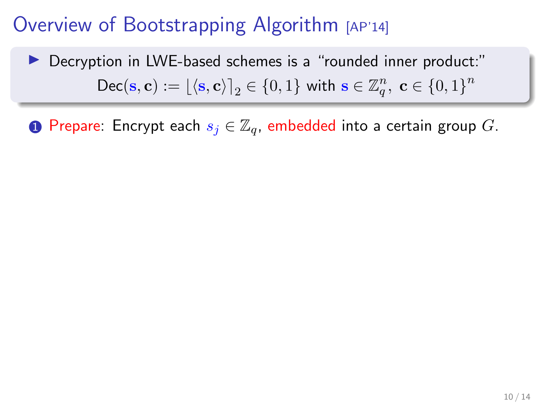▶ Decryption in LWE-based schemes is a "rounded inner product:"  $\mathsf{Dec}(\mathbf{s}, \mathbf{c}) := \lfloor \langle \mathbf{s}, \mathbf{c} \rangle \rceil_2 \in \{0, 1\}$  with  $\mathbf{s} \in \mathbb{Z}_q^n$ ,  $\mathbf{c} \in \{0, 1\}^n$ 

**1** Prepare: Encrypt each  $s_i \in \mathbb{Z}_q$ , embedded into a certain group G.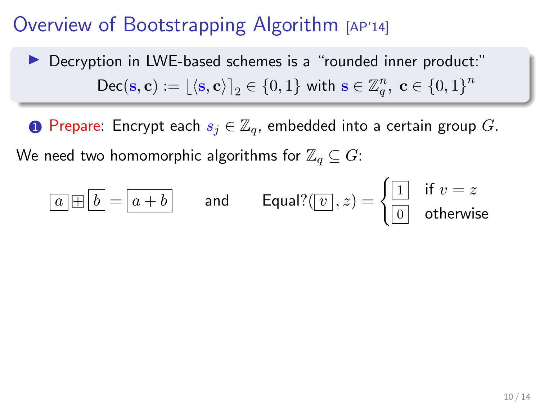▶ Decryption in LWE-based schemes is a "rounded inner product:"  $\mathsf{Dec}(\mathbf{s}, \mathbf{c}) := \lfloor \langle \mathbf{s}, \mathbf{c} \rangle \rceil_2 \in \{0, 1\}$  with  $\mathbf{s} \in \mathbb{Z}_q^n$ ,  $\mathbf{c} \in \{0, 1\}^n$ 

**1** Prepare: Encrypt each  $s_j \in \mathbb{Z}_q$ , embedded into a certain group G.

We need two homomorphic algorithms for  $\mathbb{Z}_q \subseteq G$ :

$$
\boxed{a \boxplus b} = \boxed{a+b} \qquad \text{and} \qquad \text{Equal?}(\boxed{v}\,,z) = \begin{cases} \boxed{1} & \text{if } v = z \\ \boxed{0} & \text{otherwise} \end{cases}
$$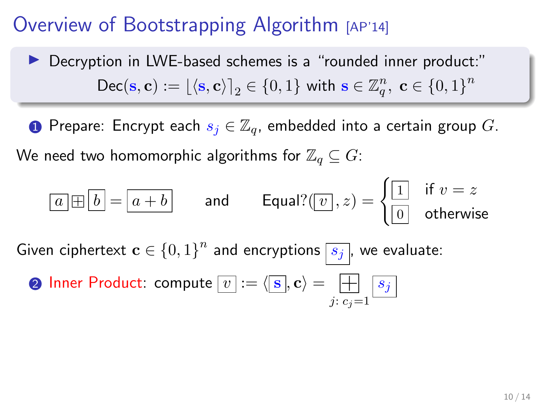▶ Decryption in LWE-based schemes is a "rounded inner product:"  $\mathsf{Dec}(\mathbf{s}, \mathbf{c}) := \lfloor \langle \mathbf{s}, \mathbf{c} \rangle \rceil_2 \in \{0, 1\}$  with  $\mathbf{s} \in \mathbb{Z}_q^n$ ,  $\mathbf{c} \in \{0, 1\}^n$ 

**1** Prepare: Encrypt each  $s_i \in \mathbb{Z}_q$ , embedded into a certain group G. We need two homomorphic algorithms for  $\mathbb{Z}_q \subseteq G$ :

$$
\boxed{a \boxplus b} = \boxed{a + b} \qquad \text{and} \qquad \text{Equal?}(\boxed{v}\,, z) = \begin{cases} \boxed{1} & \text{if } v = z \\ \boxed{0} & \text{otherwise} \end{cases}
$$

Given ciphertext  $\mathbf{c} \in \{0,1\}^n$  and encryptions  $\boxed{s_j}$ , we evaluate: ð

**Q** Inner Product: compute 
$$
[v] := \langle [s], \mathbf{c} \rangle = \boxed{\prod_{j: c_j = 1} [s_j]}
$$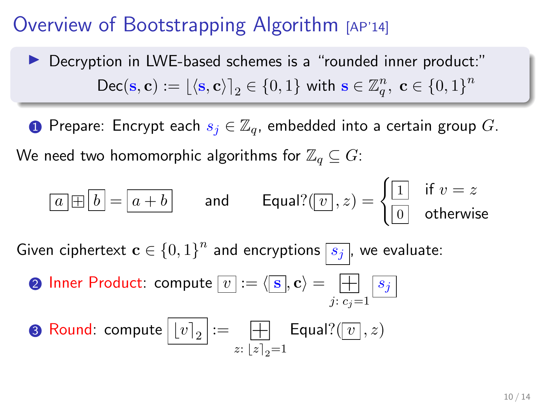▶ Decryption in LWE-based schemes is a "rounded inner product:"  $\mathsf{Dec}(\mathbf{s}, \mathbf{c}) := \lfloor \langle \mathbf{s}, \mathbf{c} \rangle \rceil_2 \in \{0, 1\}$  with  $\mathbf{s} \in \mathbb{Z}_q^n$ ,  $\mathbf{c} \in \{0, 1\}^n$ 

**1** Prepare: Encrypt each  $s_i \in \mathbb{Z}_q$ , embedded into a certain group G. We need two homomorphic algorithms for  $\mathbb{Z}_q \subseteq G$ :

$$
\boxed{a \boxplus b} = \boxed{a + b} \qquad \text{and} \qquad \text{Equal?}(\boxed{v}\,, z) = \begin{cases} \boxed{1} & \text{if } v = z \\ \boxed{0} & \text{otherwise} \end{cases}
$$

Given ciphertext  $\mathbf{c} \in \{0,1\}^n$  and encryptions  $\boxed{s_j}$ , we evaluate: ð

\n- **Q** Inner Product: compute 
$$
[v] := \langle \mathbf{S}, \mathbf{c} \rangle = \prod_{j: c_j = 1} s_j
$$
\n- **Q** Round: compute  $[v]_2 := \prod_{z: |z|_2 = 1} \text{Equal?}(v, z)$
\n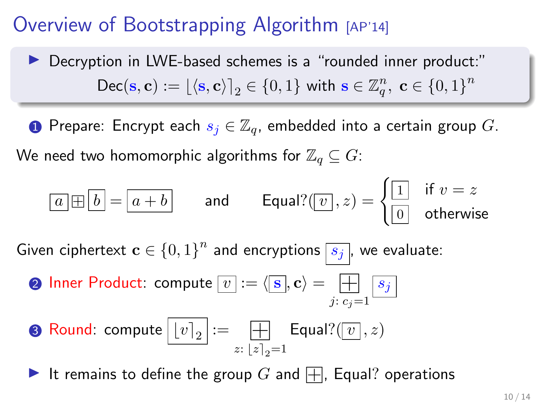▶ Decryption in LWE-based schemes is a "rounded inner product:"  $\mathsf{Dec}(\mathbf{s}, \mathbf{c}) := \lfloor \langle \mathbf{s}, \mathbf{c} \rangle \rceil_2 \in \{0, 1\}$  with  $\mathbf{s} \in \mathbb{Z}_q^n$ ,  $\mathbf{c} \in \{0, 1\}^n$ 

**1** Prepare: Encrypt each  $s_i \in \mathbb{Z}_q$ , embedded into a certain group G. We need two homomorphic algorithms for  $\mathbb{Z}_q \subseteq G$ :

$$
\boxed{a \boxplus b} = \boxed{a + b} \qquad \text{and} \qquad \text{Equal?}(\boxed{v}\,, z) = \begin{cases} \boxed{1} & \text{if } v = z \\ \boxed{0} & \text{otherwise} \end{cases}
$$

Given ciphertext  $\mathbf{c} \in \{0,1\}^n$  and encryptions  $\boxed{s_j}$ , we evaluate: ð

**Q** Inner Product: compute 
$$
[v] := \langle [s], \mathbf{c} \rangle = \boxed{\prod_{j : c_j = 1} [s_j]}
$$

**8** Round: compute 
$$
\boxed{[v]_2} := \boxed{\frac{1}{z}
$$
  $\boxed{z}_2 = 1}$   $\boxed{\text{Equal?}(\boxed{v}, z)}$ 

It remains to define the group G and  $\Box$ , Equal? operations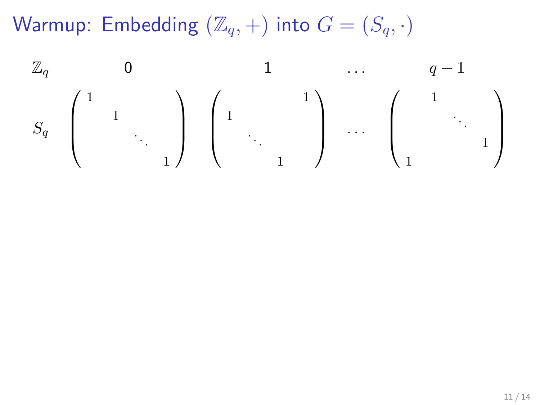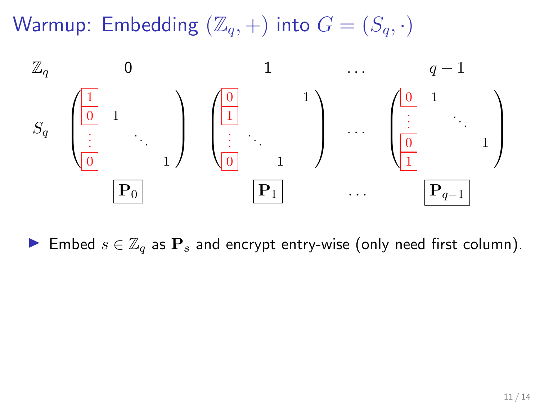

Embed  $s \in \mathbb{Z}_q$  as  $\mathbf{P}_s$  and encrypt entry-wise (only need first column).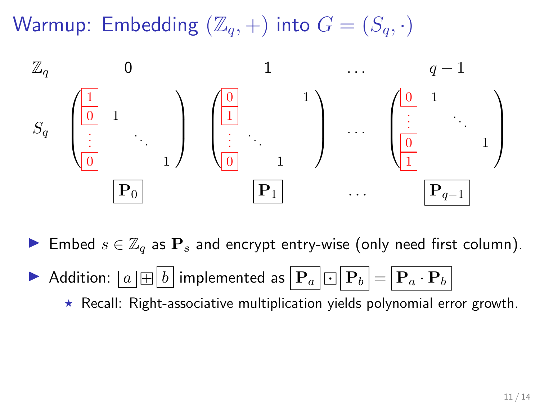

► Embed  $s \in \mathbb{Z}_q$  as  $\mathbf{P}_s$  and encrypt entry-wise (only need first column).

Addition:  $\boxed{a \boxplus b}$  implemented as  $\boxed{\mathbf{P}_a \boxdot \mathbf{P}_b} = \boxed{\mathbf{P}_a \cdot \mathbf{P}_b}$ 

 $\star$  Recall: Right-associative multiplication yields polynomial error growth.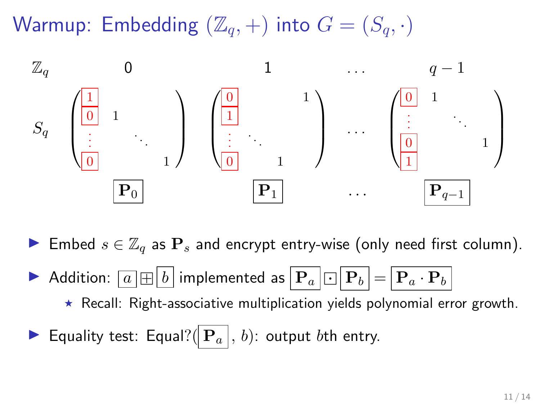

► Embed  $s \in \mathbb{Z}_q$  as  $\mathbf{P}_s$  and encrypt entry-wise (only need first column).

- Addition:  $\boxed{a \boxplus b}$  implemented as  $\boxed{\mathbf{P}_a \boxdot \mathbf{P}_b} = \boxed{\mathbf{P}_a \cdot \mathbf{P}_b}$ 
	- $\star$  Recall: Right-associative multiplication yields polynomial error growth.
- **Equality test: Equal?**( $\mathbf{P}_a$ , b): output bth entry.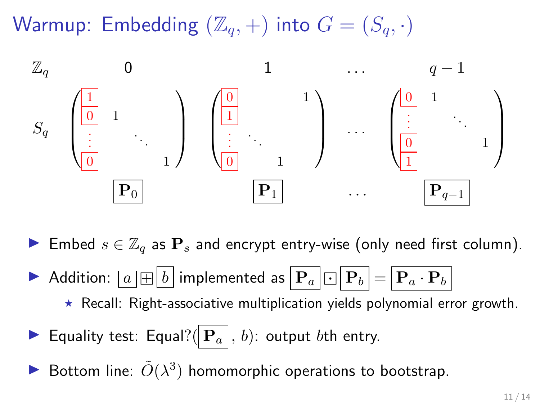

► Embed  $s \in \mathbb{Z}_q$  as  $\mathbf{P}_s$  and encrypt entry-wise (only need first column).

- Addition:  $\boxed{a \boxplus b}$  implemented as  $\boxed{\mathbf{P}_a \boxdot \mathbf{P}_b} = \boxed{\mathbf{P}_a \cdot \mathbf{P}_b}$ 
	- $\star$  Recall: Right-associative multiplication yields polynomial error growth.
- **Equality test: Equal?**( $\mathbf{P}_a$ , b): output bth entry.
- Bottom line:  $\tilde{O}(\lambda^3)$  homomorphic operations to bootstrap.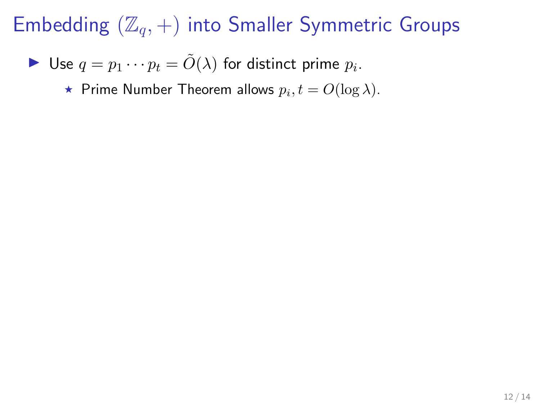• Use 
$$
q = p_1 \cdots p_t = \tilde{O}(\lambda)
$$
 for distinct prime  $p_i$ .

 $\star$  Prime Number Theorem allows  $p_i, t = O(\log \lambda)$ .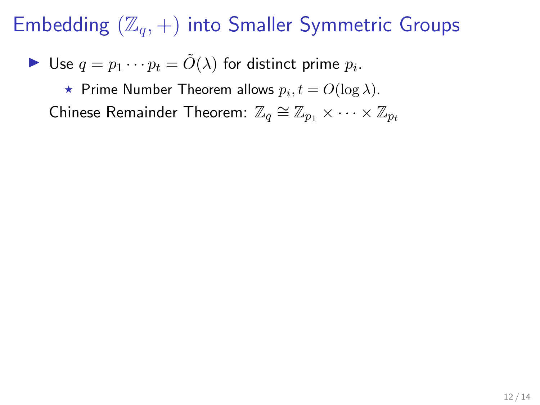Use 
$$
q = p_1 \cdots p_t = \tilde{O}(\lambda)
$$
 for distinct prime  $p_i$ .

 $\star$  Prime Number Theorem allows  $p_i, t = O(\log \lambda)$ .

Chinese Remainder Theorem:  $\mathbb{Z}_q \cong \mathbb{Z}_{p_1} \times \cdots \times \mathbb{Z}_{p_t}$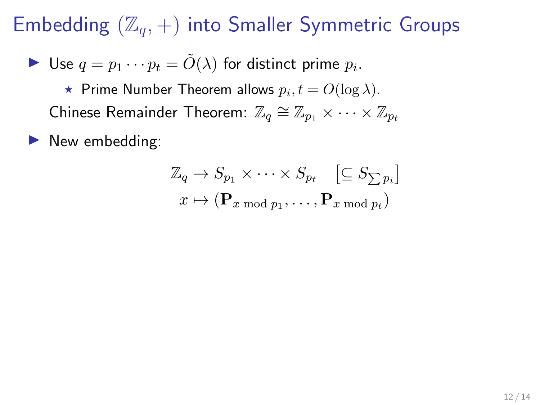$\blacktriangleright$  Use  $q = p_1 \cdots p_t = \tilde{O}(\lambda)$  for distinct prime  $p_i$ .

 $\star$  Prime Number Theorem allows  $p_i, t = O(\log \lambda)$ . Chinese Remainder Theorem:  $\mathbb{Z}_q \cong \mathbb{Z}_{p_1} \times \cdots \times \mathbb{Z}_{p_t}$ 

 $\blacktriangleright$  New embedding:

$$
\mathbb{Z}_q \to S_{p_1} \times \cdots \times S_{p_t} \quad \left[\subseteq S_{\sum p_i}\right]
$$

$$
x \mapsto (\mathbf{P}_{x \bmod p_1}, \dots, \mathbf{P}_{x \bmod p_t})
$$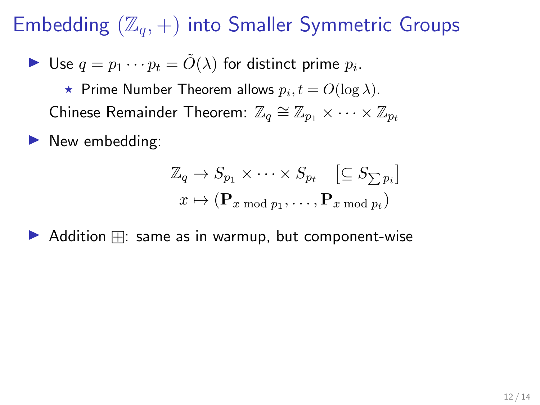Use 
$$
q = p_1 \cdots p_t = \tilde{O}(\lambda)
$$
 for distinct prime  $p_i$ .

 $\star$  Prime Number Theorem allows  $p_i, t = O(\log \lambda)$ . Chinese Remainder Theorem:  $\mathbb{Z}_q \cong \mathbb{Z}_{p_1} \times \cdots \times \mathbb{Z}_{p_t}$ 

 $\blacktriangleright$  New embedding:

$$
\mathbb{Z}_q \to S_{p_1} \times \cdots \times S_{p_t} \quad \left[\subseteq S_{\sum p_i}\right]
$$

$$
x \mapsto (\mathbf{P}_{x \bmod p_1}, \dots, \mathbf{P}_{x \bmod p_t})
$$

 $\blacktriangleright$  Addition  $\boxplus$ : same as in warmup, but component-wise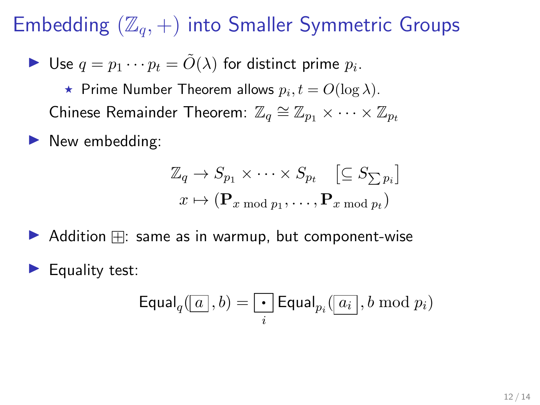Use 
$$
q = p_1 \cdots p_t = \tilde{O}(\lambda)
$$
 for distinct prime  $p_i$ .

 $\star$  Prime Number Theorem allows  $p_i, t = O(\log \lambda)$ . Chinese Remainder Theorem:  $\mathbb{Z}_q \cong \mathbb{Z}_{p_1} \times \cdots \times \mathbb{Z}_{p_t}$ 

 $\blacktriangleright$  New embedding:

$$
\mathbb{Z}_q \to S_{p_1} \times \cdots \times S_{p_t} \quad \left[\subseteq S_{\sum p_i}\right]
$$

$$
x \mapsto (\mathbf{P}_{x \bmod p_1}, \dots, \mathbf{P}_{x \bmod p_t})
$$

 $\blacktriangleright$  Addition  $\boxplus$ : same as in warmup, but component-wise

Equality test:

$$
\textsf{Equal}_q(\boxed{a}, b) = \boxed{\cdot} \textsf{Equal}_{p_i}(\boxed{a_i}, b \bmod p_i)
$$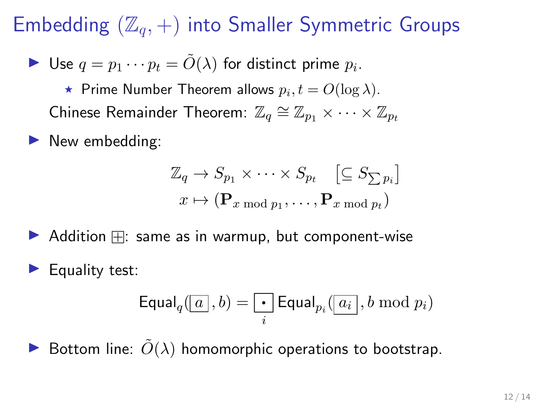Use 
$$
q = p_1 \cdots p_t = \tilde{O}(\lambda)
$$
 for distinct prime  $p_i$ .

 $\star$  Prime Number Theorem allows  $p_i, t = O(\log \lambda)$ . Chinese Remainder Theorem:  $\mathbb{Z}_q \cong \mathbb{Z}_{p_1} \times \cdots \times \mathbb{Z}_{p_t}$ 

New embedding:

$$
\mathbb{Z}_q \to S_{p_1} \times \cdots \times S_{p_t} \quad \left[\subseteq S_{\sum p_i}\right]
$$

$$
x \mapsto (\mathbf{P}_{x \bmod p_1}, \dots, \mathbf{P}_{x \bmod p_t})
$$

 $\blacktriangleright$  Addition  $\boxplus$ : same as in warmup, but component-wise

Equality test:

$$
\textsf{Equal}_q(\boxed{a}, b) = \boxed{\cdot} \textsf{Equal}_{p_i}(\boxed{a_i}, b \bmod p_i)
$$

Bottom line:  $\tilde{O}(\lambda)$  homomorphic operations to bootstrap.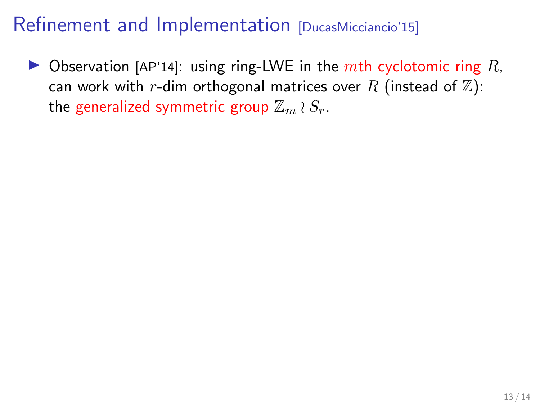$\triangleright$  Observation [AP'14]: using ring-LWE in the mth cyclotomic ring R, can work with r-dim orthogonal matrices over R (instead of  $\mathbb{Z}$ ): the generalized symmetric group  $\mathbb{Z}_m \wr S_r$ .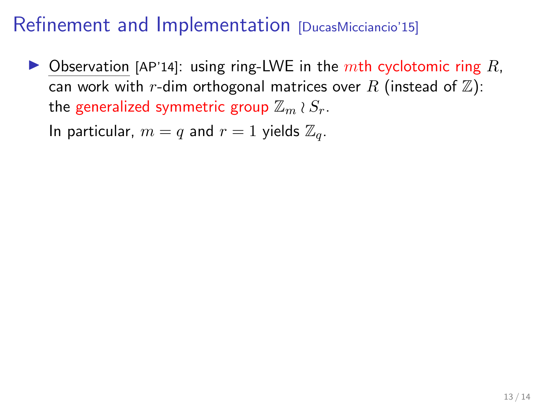$\triangleright$  Observation [AP'14]: using ring-LWE in the mth cyclotomic ring R, can work with r-dim orthogonal matrices over R (instead of  $\mathbb{Z}$ ): the generalized symmetric group  $\mathbb{Z}_m \wr S_r$ .

In particular,  $m = q$  and  $r = 1$  yields  $\mathbb{Z}_q$ .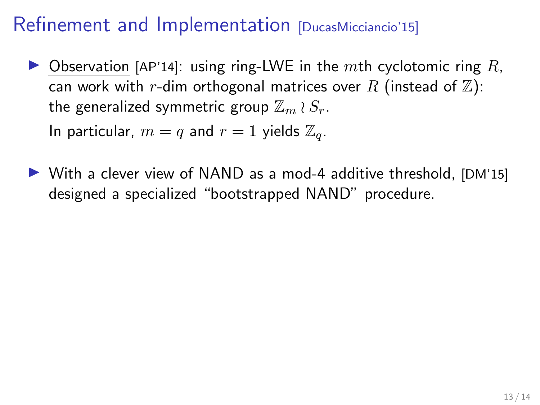$\triangleright$  Observation [AP'14]: using ring-LWE in the mth cyclotomic ring R, can work with r-dim orthogonal matrices over R (instead of  $\mathbb{Z}$ ): the generalized symmetric group  $\mathbb{Z}_m \wr S_r$ .

In particular,  $m = q$  and  $r = 1$  yields  $\mathbb{Z}_q$ .

 $\triangleright$  With a clever view of NAND as a mod-4 additive threshold, [DM'15] designed a specialized "bootstrapped NAND" procedure.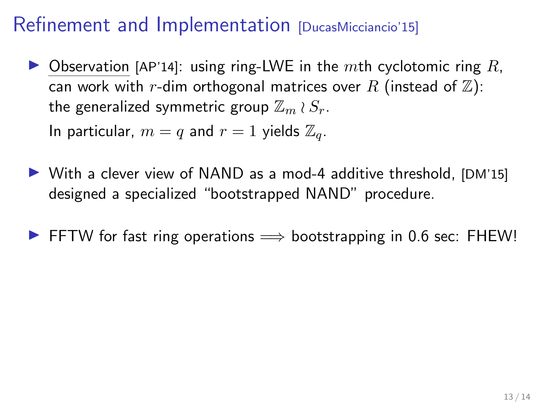$\triangleright$  Observation [AP'14]: using ring-LWE in the mth cyclotomic ring R, can work with r-dim orthogonal matrices over R (instead of  $\mathbb{Z}$ ): the generalized symmetric group  $\mathbb{Z}_m \wr S_r$ .

In particular,  $m = q$  and  $r = 1$  yields  $\mathbb{Z}_q$ .

- $\triangleright$  With a clever view of NAND as a mod-4 additive threshold, [DM'15] designed a specialized "bootstrapped NAND" procedure.
- **► FFTW for fast ring operations**  $\implies$  **bootstrapping in 0.6 sec: FHEW!**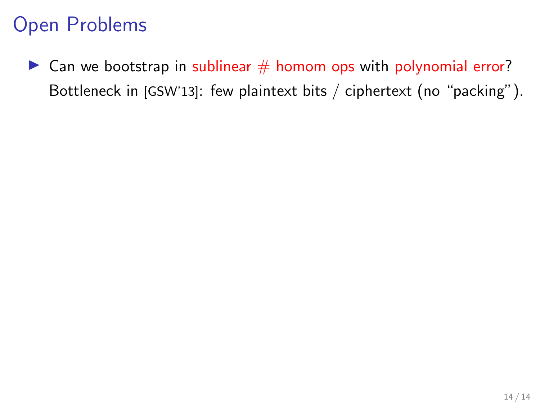$\triangleright$  Can we bootstrap in sublinear  $\#$  homom ops with polynomial error? Bottleneck in [GSW'13]: few plaintext bits / ciphertext (no "packing").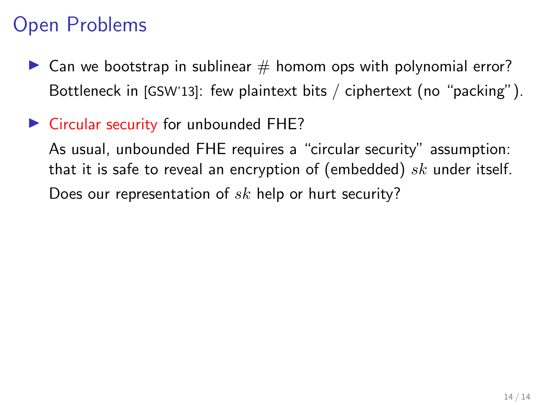$\triangleright$  Can we bootstrap in sublinear  $\#$  homom ops with polynomial error? Bottleneck in [GSW'13]: few plaintext bits / ciphertext (no "packing").

#### $\triangleright$  Circular security for unbounded FHE?

As usual, unbounded FHE requires a "circular security" assumption: that it is safe to reveal an encryption of (embedded)  $sk$  under itself. Does our representation of  $sk$  help or hurt security?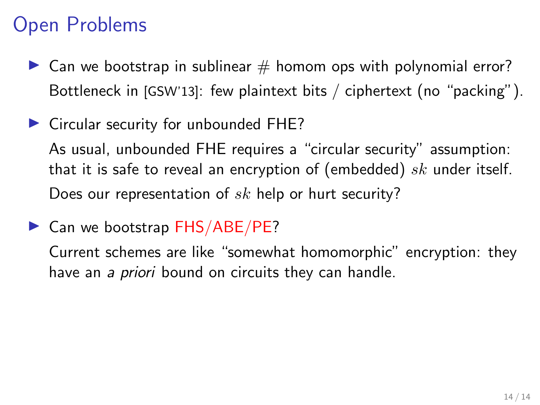- $\triangleright$  Can we bootstrap in sublinear  $\#$  homom ops with polynomial error? Bottleneck in [GSW'13]: few plaintext bits / ciphertext (no "packing").
- $\triangleright$  Circular security for unbounded FHE?

As usual, unbounded FHE requires a "circular security" assumption: that it is safe to reveal an encryption of (embedded)  $sk$  under itself. Does our representation of  $sk$  help or hurt security?

 $\triangleright$  Can we bootstrap FHS/ABE/PE?

Current schemes are like "somewhat homomorphic" encryption: they have an a *priori* bound on circuits they can handle.